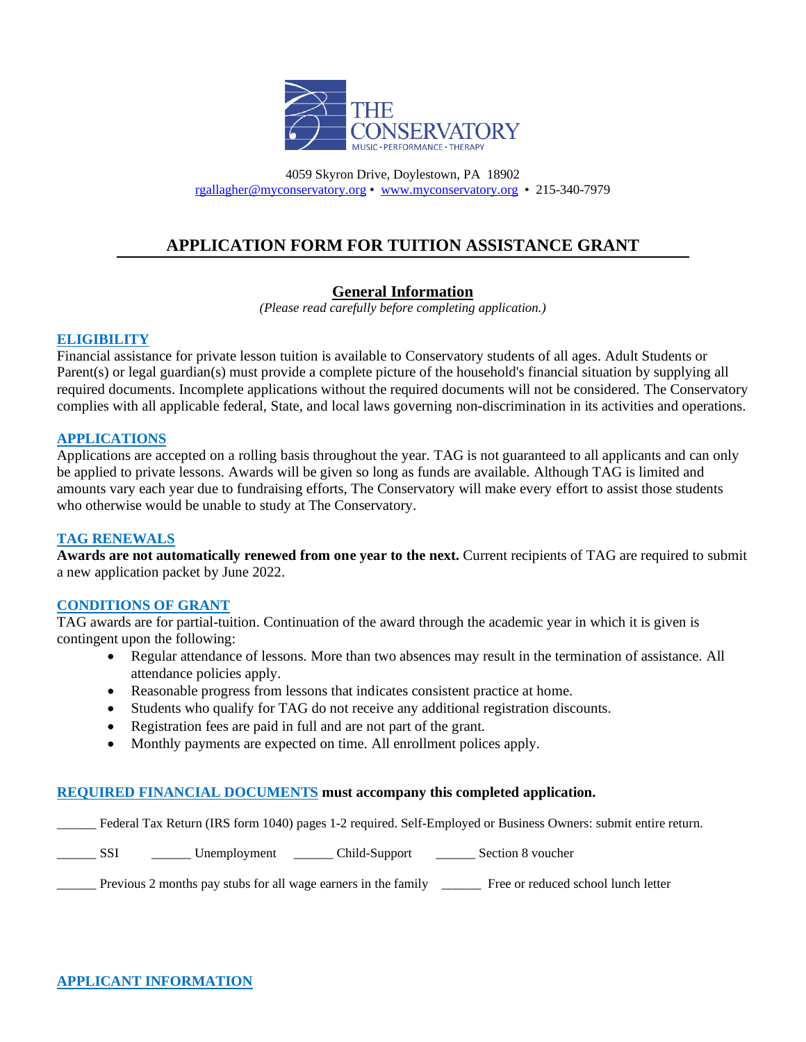

4059 Skyron Drive, Doylestown, PA 18902 [rgallagher@myconservatory.org](mailto:rgallagher@myconservatory.org) • [www.myconservatory.org](http://www.myconservatory.org/) • 215-340-7979

# **APPLICATION FORM FOR TUITION ASSISTANCE GRANT**

## **General Information**

*(Please read carefully before completing application.)*

#### **ELIGIBILITY**

Financial assistance for private lesson tuition is available to Conservatory students of all ages. Adult Students or Parent(s) or legal guardian(s) must provide a complete picture of the household's financial situation by supplying all required documents. Incomplete applications without the required documents will not be considered. The Conservatory complies with all applicable federal, State, and local laws governing non-discrimination in its activities and operations.

#### **APPLICATIONS**

Applications are accepted on a rolling basis throughout the year. TAG is not guaranteed to all applicants and can only be applied to private lessons. Awards will be given so long as funds are available. Although TAG is limited and amounts vary each year due to fundraising efforts, The Conservatory will make every effort to assist those students who otherwise would be unable to study at The Conservatory.

#### **TAG RENEWALS**

**Awards are not automatically renewed from one year to the next.** Current recipients of TAG are required to submit a new application packet by June 2022.

#### **CONDITIONS OF GRANT**

TAG awards are for partial-tuition. Continuation of the award through the academic year in which it is given is contingent upon the following:

- Regular attendance of lessons. More than two absences may result in the termination of assistance. All attendance policies apply.
- Reasonable progress from lessons that indicates consistent practice at home.
- Students who qualify for TAG do not receive any additional registration discounts.
- Registration fees are paid in full and are not part of the grant.
- Monthly payments are expected on time. All enrollment polices apply.

### **REQUIRED FINANCIAL DOCUMENTS must accompany this completed application.**

\_\_\_\_\_\_ Federal Tax Return (IRS form 1040) pages 1-2 required. Self-Employed or Business Owners: submit entire return.

SSI Lemployment \_\_\_\_\_\_ Child-Support \_\_\_\_\_\_ Section 8 voucher

Previous 2 months pay stubs for all wage earners in the family \_\_\_\_\_\_ Free or reduced school lunch letter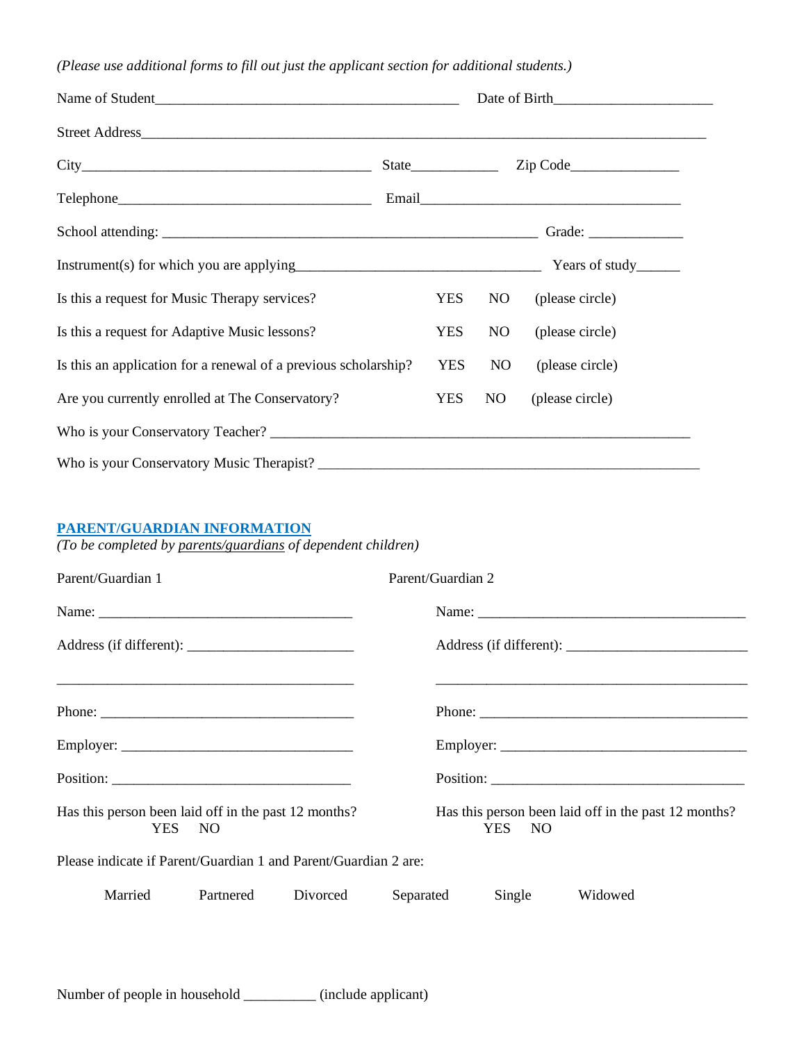*(Please use additional forms to fill out just the applicant section for additional students.)*

| Name of Student                                                 |            |            |                | Date of Birth   |  |  |  |
|-----------------------------------------------------------------|------------|------------|----------------|-----------------|--|--|--|
|                                                                 |            |            |                |                 |  |  |  |
|                                                                 |            |            |                |                 |  |  |  |
|                                                                 |            |            |                |                 |  |  |  |
|                                                                 |            |            |                |                 |  |  |  |
|                                                                 |            |            |                |                 |  |  |  |
| Is this a request for Music Therapy services?                   | <b>YES</b> |            | NO.            | (please circle) |  |  |  |
| Is this a request for Adaptive Music lessons?                   | <b>YES</b> |            | N <sub>O</sub> | (please circle) |  |  |  |
| Is this an application for a renewal of a previous scholarship? |            | <b>YES</b> | NO             | (please circle) |  |  |  |
| Are you currently enrolled at The Conservatory?                 | <b>YES</b> |            | NO             | (please circle) |  |  |  |
|                                                                 |            |            |                |                 |  |  |  |
|                                                                 |            |            |                |                 |  |  |  |

#### **PARENT/GUARDIAN INFORMATION**

*(To be completed by parents/guardians of dependent children)*

| Parent/Guardian 1                                               |           |          | Parent/Guardian 2                                              |  |        |                                                                                                                      |  |
|-----------------------------------------------------------------|-----------|----------|----------------------------------------------------------------|--|--------|----------------------------------------------------------------------------------------------------------------------|--|
|                                                                 |           |          |                                                                |  |        |                                                                                                                      |  |
|                                                                 |           |          |                                                                |  |        |                                                                                                                      |  |
|                                                                 |           |          |                                                                |  |        | <u> 1989 - Jan James James James James James James James James James James James James James James James James J</u> |  |
|                                                                 |           |          |                                                                |  |        |                                                                                                                      |  |
|                                                                 |           |          |                                                                |  |        |                                                                                                                      |  |
|                                                                 |           |          |                                                                |  |        |                                                                                                                      |  |
| Has this person been laid off in the past 12 months?<br>YES NO  |           |          | Has this person been laid off in the past 12 months?<br>YES NO |  |        |                                                                                                                      |  |
| Please indicate if Parent/Guardian 1 and Parent/Guardian 2 are: |           |          |                                                                |  |        |                                                                                                                      |  |
| Married                                                         | Partnered | Divorced | Separated                                                      |  | Single | Widowed                                                                                                              |  |